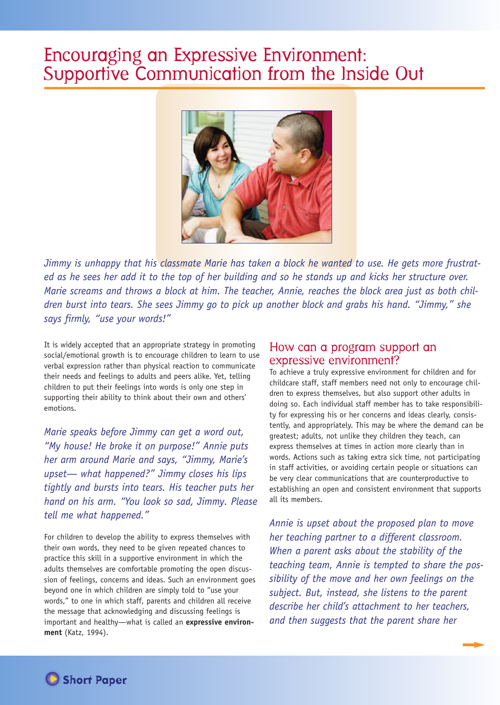# Encouraging an Expressive Environment: Supportive Communication from the Inside Out



Jimmy is unhappy that his classmate Marie has taken a block he wanted to use. He gets more frustrated as he sees her add it to the top of her building and so he stands up and kicks her structure over. Marie screams and throws a block at him. The teacher, Annie, reaches the block area just as both children burst into tears. She sees Jimmy go to pick up another block and grabs his hand. "Jimmy," she *says firmly, "use your words!"*

It is widely accepted that an appropriate strategy in promoting social/emotional growth is to encourage children to learn to use verbal expression rather than physical reaction to communicate their needs and feelings to adults and peers alike. Yet, telling children to put their feelings into words is only one step in supporting their ability to think about their own and others' emotions.

*Marie speaks before Jimmy can get a word out, "My house! He broke it on purpose!" Annie puts her arm around Marie and says, "Jimmy, Marie's upset— what happened?" Jimmy closes his lips tightly and bursts into tears. His teacher puts her hand on his arm. "You look so sad, Jimmy. Please tell me what happened."*

For children to develop the ability to express themselves with their own words, they need to be given repeated chances to practice this skill in a supportive environment in which the adults themselves are comfortable promoting the open discussion of feelings, concerns and ideas. Such an environment goes beyond one in which children are simply told to "use your words," to one in which staff, parents and children all receive the message that acknowledging and discussing feelings is important and healthy—what is called an **expressive environment** (Katz, 1994).

# How can a program support an expressive environment?

To achieve a truly expressive environment for children and for childcare staff, staff members need not only to encourage children to express themselves, but also support other adults in doing so. Each individual staff member has to take responsibility for expressing his or her concerns and ideas clearly, consistently, and appropriately. This may be where the demand can be greatest; adults, not unlike they children they teach, can express themselves at times in action more clearly than in words. Actions such as taking extra sick time, not participating in staff activities, or avoiding certain people or situations can be very clear communications that are counterproductive to establishing an open and consistent environment that supports all its members.

*Annie is upset about the proposed plan to move her teaching partner to a different classroom. When a parent asks about the stability of the teaching team, Annie is tempted to share the possibility of the move and her own feelings on the subject. But, instead, she listens to the parent describe her child's attachment to her teachers, and then suggests that the parent share her*

▼**Short Paper**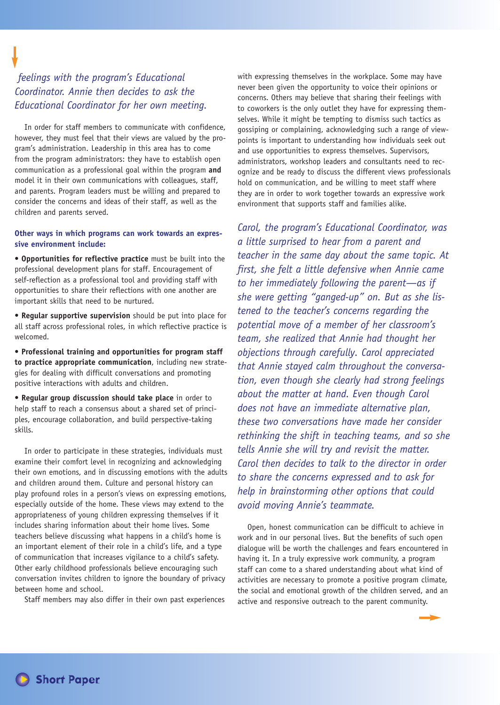# *feelings with the program's Educational Coordinator. Annie then decides to ask the Educational Coordinator for her own meeting.*

In order for staff members to communicate with confidence, however, they must feel that their views are valued by the program's administration. Leadership in this area has to come from the program administrators: they have to establish open communication as a professional goal within the program **and** model it in their own communications with colleagues, staff, and parents. Program leaders must be willing and prepared to consider the concerns and ideas of their staff, as well as the children and parents served.

# **Other ways in which programs can work towards an expressive environment include:**

**• Opportunities for reflective practice** must be built into the professional development plans for staff. Encouragement of self-reflection as a professional tool and providing staff with opportunities to share their reflections with one another are important skills that need to be nurtured.

**• Regular supportive supervision** should be put into place for all staff across professional roles, in which reflective practice is welcomed.

**• Professional training and opportunities for program staff to practice appropriate communication**, including new strategies for dealing with difficult conversations and promoting positive interactions with adults and children.

**• Regular group discussion should take place** in order to help staff to reach a consensus about a shared set of principles, encourage collaboration, and build perspective-taking skills.

In order to participate in these strategies, individuals must examine their comfort level in recognizing and acknowledging their own emotions, and in discussing emotions with the adults and children around them. Culture and personal history can play profound roles in a person's views on expressing emotions, especially outside of the home. These views may extend to the appropriateness of young children expressing themselves if it includes sharing information about their home lives. Some teachers believe discussing what happens in a child's home is an important element of their role in a child's life, and a type of communication that increases vigilance to a child's safety. Other early childhood professionals believe encouraging such conversation invites children to ignore the boundary of privacy between home and school.

Staff members may also differ in their own past experiences

with expressing themselves in the workplace. Some may have never been given the opportunity to voice their opinions or concerns. Others may believe that sharing their feelings with to coworkers is the only outlet they have for expressing themselves. While it might be tempting to dismiss such tactics as gossiping or complaining, acknowledging such a range of viewpoints is important to understanding how individuals seek out and use opportunities to express themselves. Supervisors, administrators, workshop leaders and consultants need to recognize and be ready to discuss the different views professionals hold on communication, and be willing to meet staff where they are in order to work together towards an expressive work environment that supports staff and families alike.

*Carol, the program's Educational Coordinator, was a little surprised to hear from a parent and teacher in the same day about the same topic. At first, she felt a little defensive when Annie came to her immediately following the parent—as if she were getting "ganged-up" on. But as she listened to the teacher's concerns regarding the potential move of a member of her classroom's team, she realized that Annie had thought her objections through carefully. Carol appreciated that Annie stayed calm throughout the conversation, even though she clearly had strong feelings about the matter at hand. Even though Carol does not have an immediate alternative plan, these two conversations have made her consider rethinking the shift in teaching teams, and so she tells Annie she will try and revisit the matter. Carol then decides to talk to the director in order to share the concerns expressed and to ask for help in brainstorming other options that could avoid moving Annie's teammate.*

Open, honest communication can be difficult to achieve in work and in our personal lives. But the benefits of such open dialogue will be worth the challenges and fears encountered in having it. In a truly expressive work community, a program staff can come to a shared understanding about what kind of activities are necessary to promote a positive program climate, the social and emotional growth of the children served, and an active and responsive outreach to the parent community.